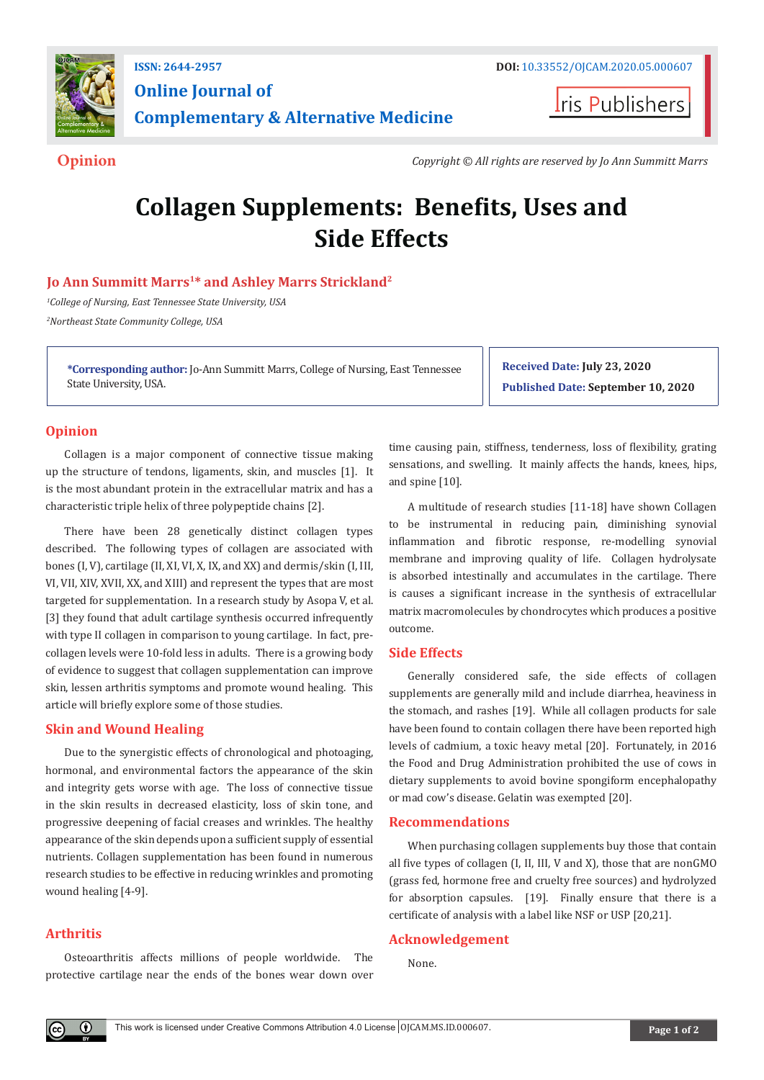

**Online Journal of Complementary & Alternative Medicine**

**Iris Publishers** 

**Opinion** *Copyright © All rights are reserved by Jo Ann Summitt Marrs*

# **Collagen Supplements: Benefits, Uses and Side Effects**

## **Jo Ann Summitt Marrs<sup>1</sup>\* and Ashley Marrs Strickland<sup>2</sup>**

*1 College of Nursing, East Tennessee State University, USA 2 Northeast State Community College, USA*

**\*Corresponding author:** Jo-Ann Summitt Marrs, College of Nursing, East Tennessee State University, USA.

**Received Date: July 23, 2020 Published Date: September 10, 2020**

### **Opinion**

Collagen is a major component of connective tissue making up the structure of tendons, ligaments, skin, and muscles [1]. It is the most abundant protein in the extracellular matrix and has a characteristic triple helix of three polypeptide chains [2].

There have been 28 genetically distinct collagen types described. The following types of collagen are associated with bones (I, V), cartilage (II, XI, VI, X, IX, and XX) and dermis/skin (I, III, VI, VII, XIV, XVII, XX, and XIII) and represent the types that are most targeted for supplementation. In a research study by Asopa V, et al. [3] they found that adult cartilage synthesis occurred infrequently with type II collagen in comparison to young cartilage. In fact, precollagen levels were 10-fold less in adults. There is a growing body of evidence to suggest that collagen supplementation can improve skin, lessen arthritis symptoms and promote wound healing. This article will briefly explore some of those studies.

#### **Skin and Wound Healing**

Due to the synergistic effects of chronological and photoaging, hormonal, and environmental factors the appearance of the skin and integrity gets worse with age. The loss of connective tissue in the skin results in decreased elasticity, loss of skin tone, and progressive deepening of facial creases and wrinkles. The healthy appearance of the skin depends upon a sufficient supply of essential nutrients. Collagen supplementation has been found in numerous research studies to be effective in reducing wrinkles and promoting wound healing [4-9].

#### **Arthritis**

 $\bf{0}$ 

Osteoarthritis affects millions of people worldwide. The protective cartilage near the ends of the bones wear down over

time causing pain, stiffness, tenderness, loss of flexibility, grating sensations, and swelling. It mainly affects the hands, knees, hips, and spine [10].

A multitude of research studies [11-18] have shown Collagen to be instrumental in reducing pain, diminishing synovial inflammation and fibrotic response, re-modelling synovial membrane and improving quality of life. Collagen hydrolysate is absorbed intestinally and accumulates in the cartilage. There is causes a significant increase in the synthesis of extracellular matrix macromolecules by chondrocytes which produces a positive outcome.

#### **Side Effects**

Generally considered safe, the side effects of collagen supplements are generally mild and include diarrhea, heaviness in the stomach, and rashes [19]. While all collagen products for sale have been found to contain collagen there have been reported high levels of cadmium, a toxic heavy metal [20]. Fortunately, in 2016 the Food and Drug Administration prohibited the use of cows in dietary supplements to avoid bovine spongiform encephalopathy or mad cow's disease. Gelatin was exempted [20].

#### **Recommendations**

When purchasing collagen supplements buy those that contain all five types of collagen (I, II, III, V and X), those that are nonGMO (grass fed, hormone free and cruelty free sources) and hydrolyzed for absorption capsules. [19]. Finally ensure that there is a certificate of analysis with a label like NSF or USP [20,21].

#### **Acknowledgement**

None.